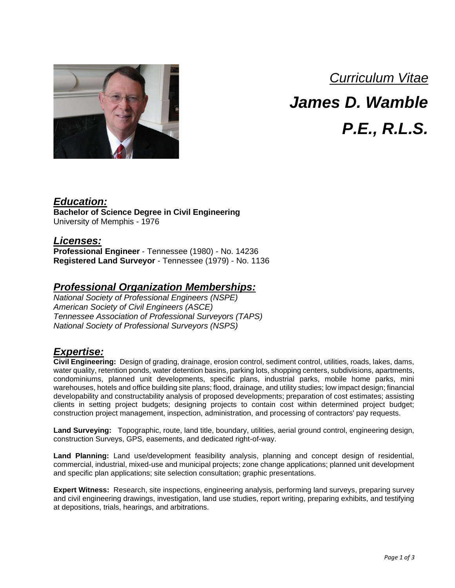

## *Curriculum Vitae*

*James D. Wamble*

*P.E., R.L.S.*

### *Education:*

**Bachelor of Science Degree in Civil Engineering** University of Memphis - 1976

### *Licenses:*

**Professional Engineer** - Tennessee (1980) - No. 14236 **Registered Land Surveyor** - Tennessee (1979) - No. 1136

### *Professional Organization Memberships:*

*National Society of Professional Engineers (NSPE) American Society of Civil Engineers (ASCE) Tennessee Association of Professional Surveyors (TAPS) National Society of Professional Surveyors (NSPS)*

### *Expertise:*

**Civil Engineering:** Design of grading, drainage, erosion control, sediment control, utilities, roads, lakes, dams, water quality, retention ponds, water detention basins, parking lots, shopping centers, subdivisions, apartments, condominiums, planned unit developments, specific plans, industrial parks, mobile home parks, mini warehouses, hotels and office building site plans; flood, drainage, and utility studies; low impact design; financial developability and constructability analysis of proposed developments; preparation of cost estimates; assisting clients in setting project budgets; designing projects to contain cost within determined project budget; construction project management, inspection, administration, and processing of contractors' pay requests.

**Land Surveying:** Topographic, route, land title, boundary, utilities, aerial ground control, engineering design, construction Surveys, GPS, easements, and dedicated right-of-way.

**Land Planning:** Land use/development feasibility analysis, planning and concept design of residential, commercial, industrial, mixed-use and municipal projects; zone change applications; planned unit development and specific plan applications; site selection consultation; graphic presentations.

**Expert Witness:** Research, site inspections, engineering analysis, performing land surveys, preparing survey and civil engineering drawings, investigation, land use studies, report writing, preparing exhibits, and testifying at depositions, trials, hearings, and arbitrations.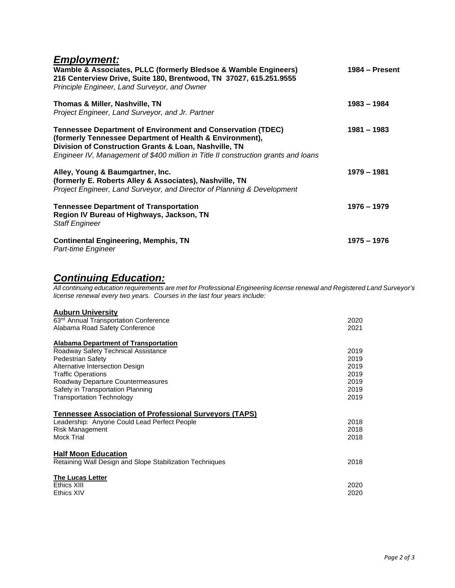# *Employment:*

| Wamble & Associates, PLLC (formerly Bledsoe & Wamble Engineers)<br>216 Centerview Drive, Suite 180, Brentwood, TN 37027, 615.251.9555<br>Principle Engineer, Land Surveyor, and Owner                                                                                         | $1984 -$ Present |
|-------------------------------------------------------------------------------------------------------------------------------------------------------------------------------------------------------------------------------------------------------------------------------|------------------|
| Thomas & Miller, Nashville, TN<br>Project Engineer, Land Surveyor, and Jr. Partner                                                                                                                                                                                            | $1983 - 1984$    |
| <b>Tennessee Department of Environment and Conservation (TDEC)</b><br>(formerly Tennessee Department of Health & Environment),<br>Division of Construction Grants & Loan, Nashville, TN<br>Engineer IV, Management of \$400 million in Title II construction grants and loans | $1981 - 1983$    |
| Alley, Young & Baumgartner, Inc.<br>(formerly E. Roberts Alley & Associates), Nashville, TN<br>Project Engineer, Land Surveyor, and Director of Planning & Development                                                                                                        | 1979 - 1981      |
| <b>Tennessee Department of Transportation</b><br>Region IV Bureau of Highways, Jackson, TN<br><b>Staff Engineer</b>                                                                                                                                                           | 1976 - 1979      |
| <b>Continental Engineering, Memphis, TN</b><br>Part-time Engineer                                                                                                                                                                                                             | 1975 – 1976      |

### *Continuing Education:*

*All continuing education requirements are met for Professional Engineering license renewal and Registered Land Surveyor's license renewal every two years. Courses in the last four years include:*

#### **Auburn University**

| 63 <sup>rd</sup> Annual Transportation Conference             | 2020 |
|---------------------------------------------------------------|------|
| Alabama Road Safety Conference                                | 2021 |
| Alabama Department of Transportation                          |      |
| Roadway Safety Technical Assistance                           | 2019 |
| Pedestrian Safety                                             | 2019 |
| Alternative Intersection Design                               | 2019 |
| <b>Traffic Operations</b>                                     | 2019 |
| Roadway Departure Countermeasures                             | 2019 |
| Safety in Transportation Planning                             | 2019 |
| <b>Transportation Technology</b>                              | 2019 |
| <b>Tennessee Association of Professional Surveyors (TAPS)</b> |      |
| Leadership: Anyone Could Lead Perfect People                  | 2018 |
| Risk Management                                               | 2018 |
| <b>Mock Trial</b>                                             | 2018 |
| <b>Half Moon Education</b>                                    |      |
| Retaining Wall Design and Slope Stabilization Techniques      | 2018 |
| <b>The Lucas Letter</b>                                       |      |
| Ethics XIII                                                   | 2020 |
| Ethics XIV                                                    | 2020 |
|                                                               |      |